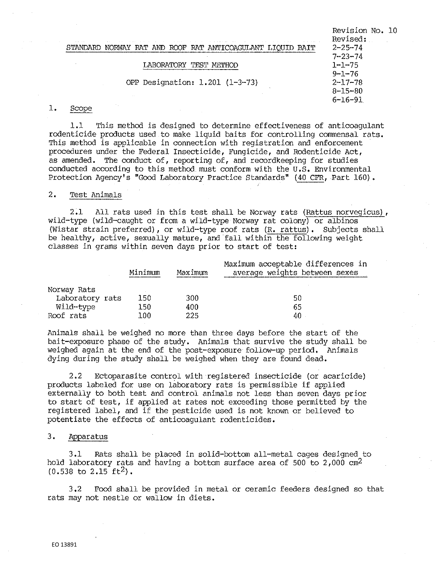| $-1 - 1 - 1 - 1$                                          | Revision No. 10<br>Revised:    |
|-----------------------------------------------------------|--------------------------------|
| STANDARD<br>NORWAY RAT AND ROOF RAT ANTICOAGULANT<br>BAIT | $2 - 25 - 74$<br>$7 - 23 - 74$ |
| TEST METHOD                                               | $1 - 1 - 75$                   |
|                                                           | $9 - 1 - 76$                   |
| OPP Designation: 1.201 (1-3-73)                           | $2 - 17 - 78$                  |
|                                                           | $8 - 15 - 80$                  |
| $\sim$                                                    | $6 - 16 - 91$                  |
| <b>Allen</b><br>Scope                                     |                                |

1,1 This method is designed to determine effectiveness of anticoagulant rodenticide products used to make liquid baits for controlling commensal rats. This method is applicable in connection with registration and enforcement procedures under the Federal Insecticide, Fungicide, and Rodenticide Act, as amended, The conduct of, reporting of, and recordkeeping for studies conducted according to this method must conform with the u,s, Environmental Protection Agency's "Good Laboratory Practice Standards" (40 CFR, Part 160).

# 2, Test Animals

 $1.$ 

2,1 All rats used in this test shall be Norway rats (Rattus norvegicus), wild-type (wild-caught or from a wild-type Norway rat colony) or albinos (Wistar strain preferred), or wild-type roof rats (R. rattus). Subjects shall be healthy, active, sexually mature, and fall within the following weight classes in grams within seven days prior to start of test:

|                 | Minimum | Maximum | Maximum acceptable differences in<br>average weights between sexes |
|-----------------|---------|---------|--------------------------------------------------------------------|
| Norway Rats     |         |         |                                                                    |
| Laboratory rats | 150     | 300     | 50                                                                 |
| Wild-type       | 150     | 400     | 65                                                                 |
| Roof rats       | 100     | 225     | 40                                                                 |

Animals shall be weighed no more than three days before the start of the bait-exposure phase of the study, Animals that survive the study shall be weighed again at the end of the post-exposure follow-up period, Animals dying during the study shall be weighed when they are found dead,

2.2 Ectoparasite control with registered insecticide (or acaricide) products labeled for use on laboratory rats is permissible if applied externally to both test and control animals not less than seven days prior to start of test, if applied at rates not exceeding those permitted by the registered label, and if the pesticide used is not known or believed to potentiate the effects of anticoagulant rodenticides.

# 3. Apparatus

3,1 Rats shall be placed in solid-bottom all-metal cages designed to hold laboratory rats and having a bottom surface area of 500 to  $2,000$  cm<sup>2</sup>  $(0.538 \text{ to } 2.15 \text{ ft}^2)$ .

3,2 Food shall be provided in metal or ceramic feeders designed so that rats may not nestle or wallow in diets.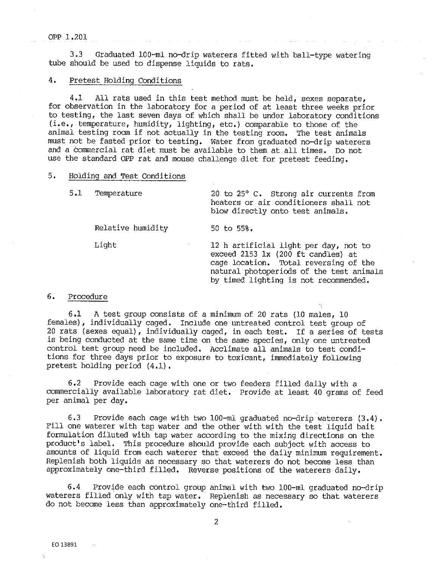#### OPP 1.201

3.3 Graduated 100-ml no-drip waterers fitted with ball-type watering tube should be used to dispense liquids to rats.

# 4. Pretest Holding Conditions

4.1 All rats used in this test method must be held, sexes separate, for observation in the laboratory for a period of at least three weeks prior to testing, the last seven days of which shall be under laboratory conditions (i.e., temperature, humidity, lighting, etc.) comparable to those of the animal testing room if not actually in the testing room. The test animals must not be fasted prior to testing. Water from graduated no-drip waterers and a commercial rat diet must be available to them at all times. Do not use the standard OPP rat and mouse challenge diet for pretest feeding.

### 5. Holding and Test Conditions

5.1 Temperature 20 to 25° c. Strong air currents from heaters or air conditioners shall not blow directly onto test animals. Relative humidity 50 to 55%. Light 12 h artificial light per day, not to exceed 2153 lx (200 ft candles) at cage location. Total reversing of the natural photoperiods of the test animals by timed lighting is not recommended.

1

#### 6. Procedure

6.1 A test group consists of a minimum of 20 rats (10 males, 10 females), individually caged. Include one untreated control test group of 20 rats (sexes equal), individually caged, in each test. If a series of tests is being conducted at the same time on the same species, only one untreated control test group need be included. Acclimate all animals to test conditions for three days prior to exposure to toxicant, immediately following pretest holding period (4.1).

6.2 Provide each cage with one or two feeders filled daily with a commercially available laboratory rat diet. Provide at least 40 grams of feed per animal per day.

6.3 Provide each cage with two 100-ml graduated no-drip waterers (3.4). Fill one waterer with tap water and the other with with the test liquid bait formulation diluted with tap water according to the mixing directions on the product's label. This procedure should provide each subject with access to amounts of liquid from each waterer that exceed the daily minimum requirement. Replenish both liquids as necessary so that waterers do not become less than approximately one-third filled. Reverse positions of the waterers daily.

6.4 Provide each control group animal with two 100-ml graduated no-drip waterers filled only with tap water. Replenish as necessary so that waterers do not become less than approximately one-third filled.

2